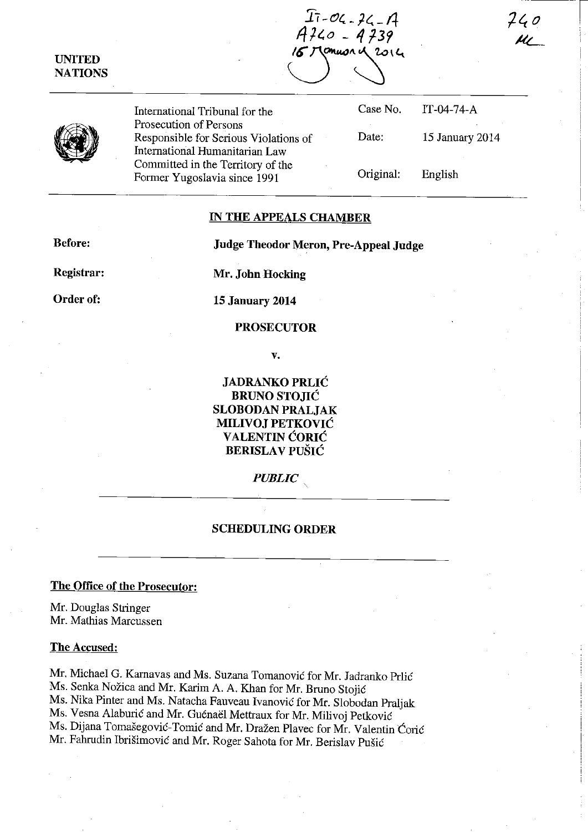**UNITED NATIONS** 

 $I_1 - O_4 - 24 - 14$  $4740 - 4739$ January 2014

Case No.

IT-04-74-A

English

15 January 2014

Original:

Date:

International Tribunal for the Prosecution of Persons Responsible for Serious Violations of International Humanitarian Law Committed in the Territory of the Former Yugoslavia since 1991

## **IN THE APPEALS CHAMBER**

**Before: Judge Theodor Meron, Pre-Appeal Judge** 

**Registrar:** 

**Mr. John Hocking** 

**Order of:** 

**15 January 2014** 

## **PROSECUTOR**

**v.** 

**JADRANKO PRLIC BRUNO STOJIC SLOBODAN PRALJAK MILIVOJ PETKOVIĆ VALENTIN CORIC BERISLA V PUSIC** 

*PUBLIC.* 

### **SCHEDULING ORDER**

# **The Office of the Prosecutor:**

Mr. Douglas Stringer Mr. Mathias Marcussen

### **The Accused:**

Mr. Michael G. Karnavas and Ms. Suzana Tomanović for Mr. Jadranko Prlić Ms. Senka Nozica and Mr. Karim A. A. Khan for Mr. Bruno Stojic Ms. Nika Pinter and Ms. Natacha Fauveau Ivanovic for Mr. Slobodan Praljak Ms. Vesna Alaburić and Mr. Guénaël Mettraux for Mr. Milivoj Petković Ms. Dijana Tomasegovic-Tomic and Mr. Drazen Plavec for Mr. Valentin Coric Mr. Fahrudin Ibrisimovic and Mr. Roger Sahota for Mr. Berislav Pusic

 $740$ 

-I